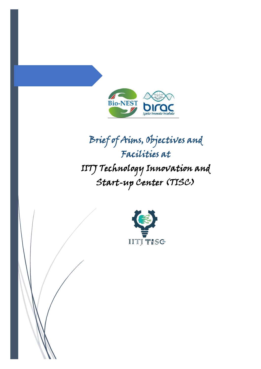

## Brief of Aims, Objectives and Facilities at IITJ Technology Innovation and Start-up Center (TISC)

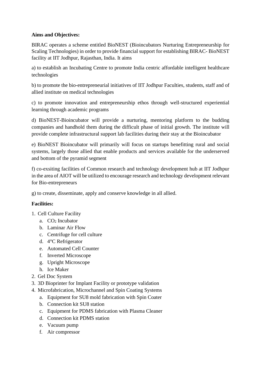## **Aims and Objectives:**

BIRAC operates a scheme entitled BioNEST (Bioincubators Nurturing Entrepreneurship for Scaling Technologies) in order to provide financial support for establishing BIRAC- BioNEST facility at IIT Jodhpur, Rajasthan, India. It aims

a) to establish an Incubating Centre to promote India centric affordable intelligent healthcare technologies

b) to promote the bio-entrepreneurial initiatives of IIT Jodhpur Faculties, students, staff and of allied institute on medical technologies

c) to promote innovation and entrepreneurship ethos through well-structured experiential learning through academic programs

d) BioNEST-Bioincubator will provide a nurturing, mentoring platform to the budding companies and handhold them during the difficult phase of initial growth. The institute will provide complete infrastructural support lab facilities during their stay at the Bioincubator

e) BioNEST Bioincubator will primarily will focus on startups benefitting rural and social systems, largely those allied that enable products and services available for the underserved and bottom of the pyramid segment

f) co-exsiting facilities of Common research and technology development hub at IIT Jodhpur in the area of AIOT will be utilized to encourage research and technology development relevant for Bio-entrepreneurs

g) to create, disseminate, apply and conserve knowledge in all allied.

## **Facilities:**

- 1. Cell Culture Facility
	- a.  $CO<sub>2</sub>$  Incubator
	- b. Laminar Air Flow
	- c. Centrifuge for cell culture
	- d. 4°C Refrigerator
	- e. Automated Cell Counter
	- f. Inverted Microscope
	- g. Upright Microscope
	- h. Ice Maker
- 2. Gel Doc System
- 3. 3D Bioprinter for Implant Facility or prototype validation
- 4. Microfabrication, Microchannel and Spin Coating Systems
	- a. Equipment for SU8 mold fabrication with Spin Coater
	- b. Connection kit SU8 station
	- c. Equipment for PDMS fabrication with Plasma Cleaner
	- d. Connection kit PDMS station
	- e. Vacuum pump
	- f. Air compressor